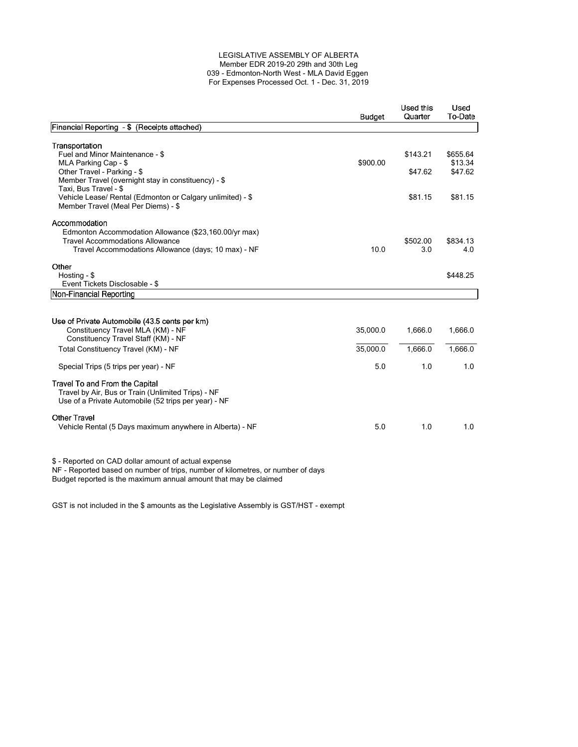#### LEGISLATIVE ASSEMBLY OF ALBERTA Member EDR 2019-20 29th and 30th Leg 039 - Edmonton-North West - MLA David Eggen For Expenses Processed Oct. 1 - Dec. 31, 2019

|                                                                                                                                       | <b>Budget</b> | Used this<br>Quarter | Used<br>To-Date     |
|---------------------------------------------------------------------------------------------------------------------------------------|---------------|----------------------|---------------------|
| Financial Reporting - \$ (Receipts attached)                                                                                          |               |                      |                     |
|                                                                                                                                       |               |                      |                     |
| Transportation                                                                                                                        |               | \$143.21             |                     |
| Fuel and Minor Maintenance - \$<br>MLA Parking Cap - \$                                                                               | \$900.00      |                      | \$655.64<br>\$13.34 |
| Other Travel - Parking - \$                                                                                                           |               | \$47.62              | \$47.62             |
| Member Travel (overnight stay in constituency) - \$                                                                                   |               |                      |                     |
| Taxi, Bus Travel - \$                                                                                                                 |               |                      |                     |
| Vehicle Lease/ Rental (Edmonton or Calgary unlimited) - \$                                                                            |               | \$81.15              | \$81.15             |
| Member Travel (Meal Per Diems) - \$                                                                                                   |               |                      |                     |
| Accommodation                                                                                                                         |               |                      |                     |
| Edmonton Accommodation Allowance (\$23,160.00/yr max)                                                                                 |               |                      |                     |
| <b>Travel Accommodations Allowance</b>                                                                                                |               | \$502.00             | \$834.13            |
| Travel Accommodations Allowance (days; 10 max) - NF                                                                                   | 10.0          | 3.0                  | 4.0                 |
| Other                                                                                                                                 |               |                      |                     |
| Hosting - \$                                                                                                                          |               |                      | \$448.25            |
| Event Tickets Disclosable - \$                                                                                                        |               |                      |                     |
| Non-Financial Reporting                                                                                                               |               |                      |                     |
|                                                                                                                                       |               |                      |                     |
| Use of Private Automobile (43.5 cents per km)                                                                                         |               |                      |                     |
| Constituency Travel MLA (KM) - NF                                                                                                     | 35,000.0      | 1,666.0              | 1,666.0             |
| Constituency Travel Staff (KM) - NF                                                                                                   |               |                      |                     |
| Total Constituency Travel (KM) - NF                                                                                                   | 35,000.0      | 1.666.0              | 1.666.0             |
| Special Trips (5 trips per year) - NF                                                                                                 | 5.0           | 1.0                  | 1.0                 |
| Travel To and From the Capital                                                                                                        |               |                      |                     |
| Travel by Air, Bus or Train (Unlimited Trips) - NF                                                                                    |               |                      |                     |
| Use of a Private Automobile (52 trips per year) - NF                                                                                  |               |                      |                     |
| <b>Other Travel</b>                                                                                                                   |               |                      |                     |
| Vehicle Rental (5 Days maximum anywhere in Alberta) - NF                                                                              | 5.0           | 1.0                  | 1.0                 |
|                                                                                                                                       |               |                      |                     |
| \$ - Reported on CAD dollar amount of actual expense<br>NE Benetted begad on number of tripe, number of kilometres, or number of doug |               |                      |                     |

NF - Reported based on number of trips, number of kilometres, or number of days Budget reported is the maximum annual amount that may be claimed

GST is not included in the \$ amounts as the Legislative Assembly is GST/HST - exempt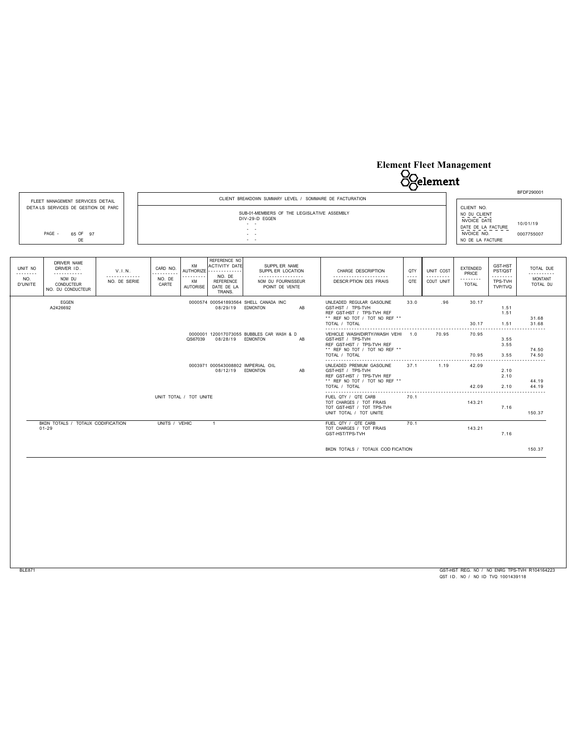## **Element Fleet Management**



|                                                                 |                | ** REF NO TOT / TOT NO REF **<br>TOTAL / TOTAL                                                                                |      |      | 70.95          | 3.55                 | 74.50<br>74.50 |
|-----------------------------------------------------------------|----------------|-------------------------------------------------------------------------------------------------------------------------------|------|------|----------------|----------------------|----------------|
| 0003971 000543008802 IMPERIAL OIL<br>08/12/19                   | EDMONTON<br>AB | UNLEADED PREMIUM GASOLINE<br>GST-HST / TPS-TVH<br>REF GST-HST / TPS-TVH REF<br>** REF NO TOT / TOT NO REF **<br>TOTAL / TOTAL | 37.1 | 1.19 | 42.09<br>42.09 | 2.10<br>2.10<br>2.10 | 44.19<br>44.19 |
| UNIT TOTAL / TOT UNITE                                          |                | FUEL QTY / QTE CARB<br>TOT CHARGES / TOT FRAIS<br>TOT GST-HST / TOT TPS-TVH<br>UNIT TOTAL / TOT UNITE                         | 70.1 |      | 143.21         | 7.16                 | 150.37         |
| BKDN TOTALS / TOTAUX CODIFICATION<br>UNITS / VEHIC<br>$01 - 29$ |                | FUEL QTY / QTE CARB<br>TOT CHARGES / TOT FRAIS<br>GST-HST/TPS-TVH                                                             | 70.1 |      | 143.21         | 7.16                 |                |
|                                                                 |                | BKDN TOTALS / TOTAUX COD FICATION                                                                                             |      |      |                |                      | 150.37         |

GST-HST REG. NO / NO ENRG TPS-TVH R104164223 QST ID. NO / NO ID TVQ 1001439118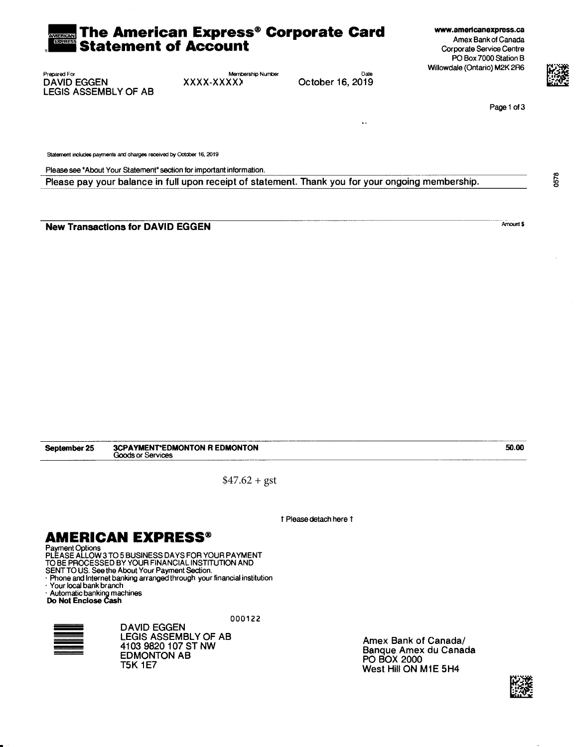#### The American Express® Corporate Card **Statement of Account**

www.americanexpress.ca Amex Bank of Canada Corporate Service Centre PO Box 7000 Station B Willowdale (Ontario) M2K 2R6



Membership Number XXXX-XXXXX

Date October 16, 2019

ç.

Page 1 of 3

Statement includes payments and charges received by October 16, 2019

Please see "About Your Statement" section for important information.

Please pay your balance in full upon receipt of statement. Thank you for your ongoing membership.

**New Transactions for DAVID EGGEN** 

Amount \$

50.00

September 25 **3CPAYMENT\*EDMONTON R EDMONTON** Goods or Services

 $$47.62 + gst$ 

1 Please detach here 1

### **AMERICAN EXPRESS®**

Payment Options<br>PLEASE ALLOW 3 TO 5 BUSINESS DAYS FOR YOUR PAYMENT

TO BE PROCESSED BY YOUR FINANCIAL INSTITUTION AND

SENT TO US. See the About Your Payment Section.

Phone and Internet banking arranged through your financial institution · Your local bank branch

Automatic banking machines<br>Do Not Enclose Cash

000122



**DAVID EGGEN** LEGIS ASSEMBLY OF AB 4103 9820 107 ST NW **EDMONTON AB T5K 1E7** 

Amex Bank of Canada/ Banque Amex du Canada PO BOX 2000 West Hill ON M1E 5H4



0578

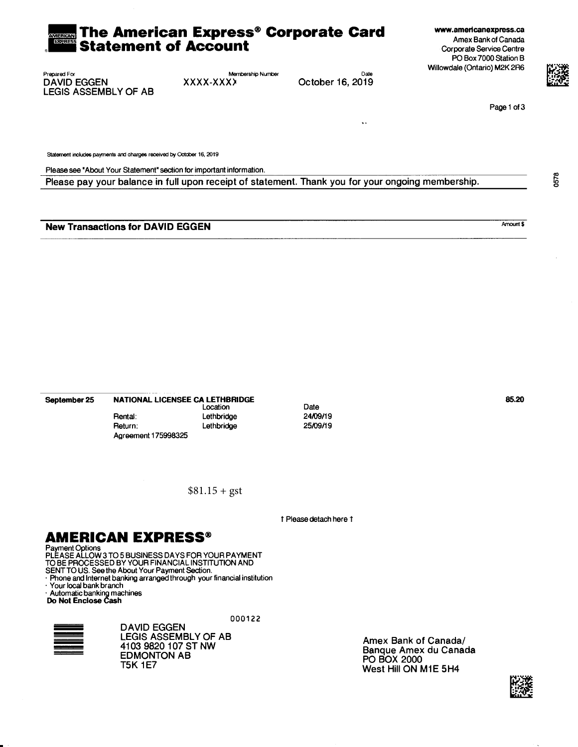#### The American Express® Corporate Card **Statement of Account**

www.americanexpress.ca Amex Bank of Canada Corporate Service Centre PO Box 7000 Station B Willowdale (Ontario) M2K 2R6



Membership Number XXXX-XXXX

Date October 16, 2019

ç.

Page 1 of 3

Statement includes payments and charges received by October 16, 2019

Please see "About Your Statement" section for important information.

Please pay your balance in full upon receipt of statement. Thank you for your ongoing membership.

**New Transactions for DAVID EGGEN** 

NATIONAL LICENSEE CA LETHBRIDGE September 25 Location Rental: Lethbridge Return: Lethbridge Agreement 175998325

 $$81.15 + gst$ 

1 Please detach here 1

Date

24/09/19

25/09/19

### **AMERICAN EXPRESS®**

Payment Options<br>PLEASE ALLOW 3 TO 5 BUSINESS DAYS FOR YOUR PAYMENT

TO BE PROCESSED BY YOUR FINANCIAL INSTITUTION AND

SENT TO US. See the About Your Payment Section.

Phone and Internet banking arranged through your financial institution · Your local bank branch

Automatic banking machines<br>Do Not Enclose Cash

000122



**DAVID EGGEN** LEGIS ASSEMBLY OF AB 4103 9820 107 ST NW **EDMONTON AB T5K 1E7** 

Amex Bank of Canada/ Banque Amex du Canada PO BOX 2000 West Hill ON M1E 5H4

85.20



0578

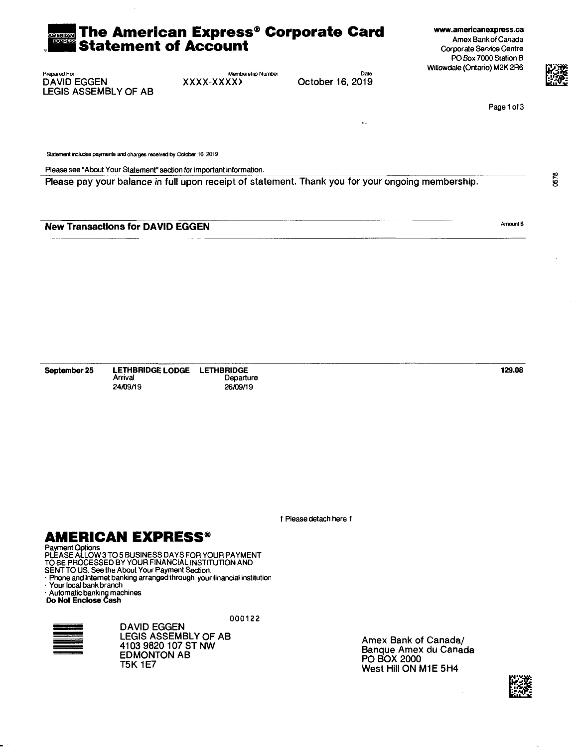#### The American Express® Corporate Card **Statement of Account**

www.americanexpress.ca Amex Bank of Canada Corporate Service Centre PO Box 7000 Station B Willowdale (Ontario) M2K 2R6



0578

Page 1 of 3

**LEGIS ASSEMBLY OF AB** 

Prepared For

**DAVID EGGEN** 

Membership Number XXXX-XXXXX

Date October 16, 2019

 $\ddotsc$ 

Statement includes payments and charges received by October 16, 2019

Please see "About Your Statement" section for important information.

Please pay your balance in full upon receipt of statement. Thank you for your ongoing membership.

**New Transactions for DAVID EGGEN** 

Arrival 24/09/19

Amount \$

129.08

1 Please detach here 1

### **AMERICAN EXPRESS®**

September 25

Payment Options<br>PLEASE ALLOW 3 TO 5 BUSINESS DAYS FOR YOUR PAYMENT TO BE PROCESSED BY YOUR FINANCIAL INSTITUTION AND

SENT TO US. See the About Your Payment Section.

Phone and Internet banking arranged through your financial institution

Your local bank branch

Automatic banking machines<br>Do Not Enclose Cash

000122

Departure

26/09/19



**DAVID EGGEN** LEGIS ASSEMBLY OF AB 4103 9820 107 ST NW **EDMONTON AB T5K 1E7** 

LETHBRIDGE LODGE LETHBRIDGE

Amex Bank of Canada/ Banque Amex du Canada **PO BOX 2000** West Hill ON M1E 5H4